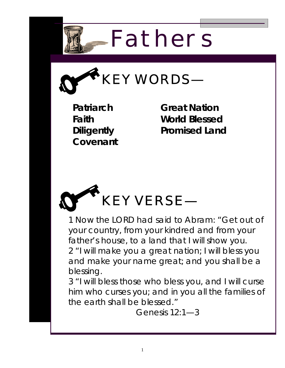



**Patriarch Faith Diligently Covenant** 

**Great Nation World Blessed Promised Land** 



1 Now the LORD had said to Abram: "Get out of your country, from your kindred and from your father's house, to a land that I will show you. 2 "I will make you a great nation; I will bless you and make your name great; and you shall be a blessing.

3 "I will bless those who bless you, and I will curse him who curses you; and in you all the families of the earth shall be blessed."

Genesis 12:1—3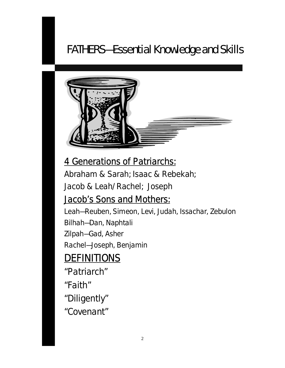# FATHERS—Essential Knowledge and Skills



## 4 Generations of Patriarchs:

Abraham & Sarah; Isaac & Rebekah; Jacob & Leah/Rachel; Joseph

### Jacob's Sons and Mothers:

Leah—Reuben, Simeon, Levi, Judah, Issachar, Zebulon Bilhah—Dan, Naphtali Zilpah—Gad, Asher Rachel—Joseph, Benjamin

## **DEFINITIONS**

"Patriarch"

- "Faith"
- "Diligently"
- "Covenant"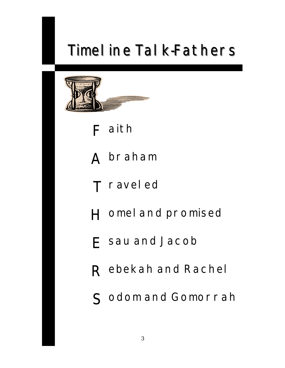# Timel ine Talk-Fathers



**F aith** 

**A braham** 

**T raveled** 

- **H omeland promised**
- **E sau and Jacob**
- **R ebekah and Rachel**
- **S odom and Gomorrah**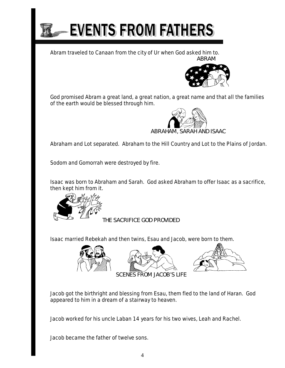

Abram traveled to Canaan from the city of Ur when God asked him to. *ABRAM*



 God promised Abram a great land, a great nation, a great name and that all the families of the earth would be blessed through him.



Abraham and Lot separated. Abraham to the Hill Country and Lot to the Plains of Jordan.

Sodom and Gomorrah were destroyed by fire.

Isaac was born to Abraham and Sarah. God asked Abraham to offer Isaac as a sacrifice, then kept him from it.



*THE SACRIFICE GOD PROVIDED*

Isaac married Rebekah and then twins, Esau and Jacob, were born to them.







Jacob got the birthright and blessing from Esau, them fled to the land of Haran. God appeared to him in a dream of a stairway to heaven.

Jacob worked for his uncle Laban 14 years for his two wives, Leah and Rachel.

Jacob became the father of twelve sons.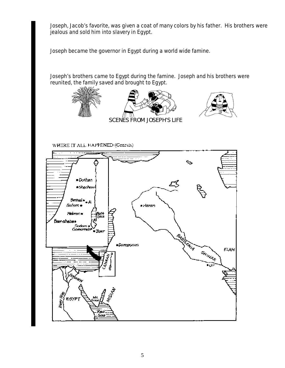Joseph, Jacob's favorite, was given a coat of many colors by his father. His brothers were jealous and sold him into slavery in Egypt.

Joseph became the governor in Egypt during a world wide famine.

Joseph's brothers came to Egypt during the famine. Joseph and his brothers were reunited, the family saved and brought to Egypt.



WHERE IT ALL HAPPENED (Genesis)

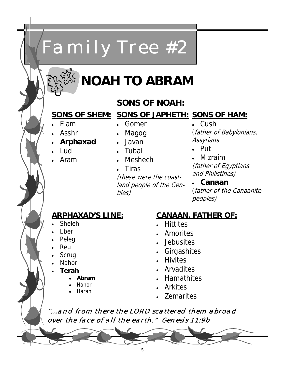# **NOAH TO ABRAM**

*Family Tree #2* 

#### **SONS OF NOAH:**

#### **SONS OF SHEM: SONS OF JAPHETH: SONS OF HAM:**

• Elam

• Asshr

- Gomer
- 
- **Arphaxad**
- Lud
- Aram
- Magog
- Javan
- Tubal
- 
- Meshech

• Tiras (these were the coastland people of the Gentiles)

• Cush (father of Babylonians, **Assyrians** 

• Put

• Mizraim (father of Egyptians and Philistines)

• **Canaan**  (father of the Canaanite peoples)

#### **ARPHAXAD'S LINE:**

- Sheleh
- Eber
- Peleg
- Reu
- **Scrug**
- **Nahor**
- **Terah**
	- ♦ **Abram**
	- Nahor
	- Haran
- **CANAAN, FATHER OF:**
- Hittites
- Amorites
- Jebusites
- Girgashites
- Hivites
- Arvadites
- Hamathites
- Arkites
- Zemarites

*"...and from there the LORD scattered them abroad over the face of all the earth." Genesis 11:9b*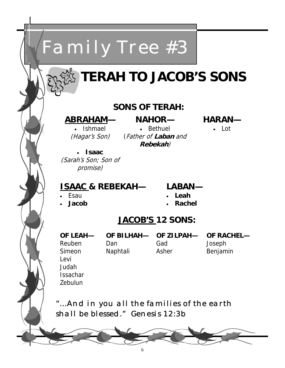

# **TERAH TO JACOB'S SONS**

#### **SONS OF TERAH:**

#### **ABRAHAM—**

• Ishmael (Hagar's Son)

**NAHOR—**  • Bethuel (Father of **Laban** and **Rebekah**)

**HARAN—** 

• Lot

• **Isaac**  (Sarah's Son; Son of promise)

#### **ISAAC & REBEKAH—**

- Esau
- **Jacob**
- **LABAN—**
- **Leah**
- **Rachel**

#### **JACOB'S 12 SONS:**

**OF LEAH—**  Reuben Simeon Levi Judah Issachar Zebulun

Dan Naphtali

**OF BILHAH— OF ZILPAH—**  Gad Asher

**OF RACHEL—**  Joseph Benjamin

*"...And in you all the families of the earth shall be blessed." Genesis 12:3b*